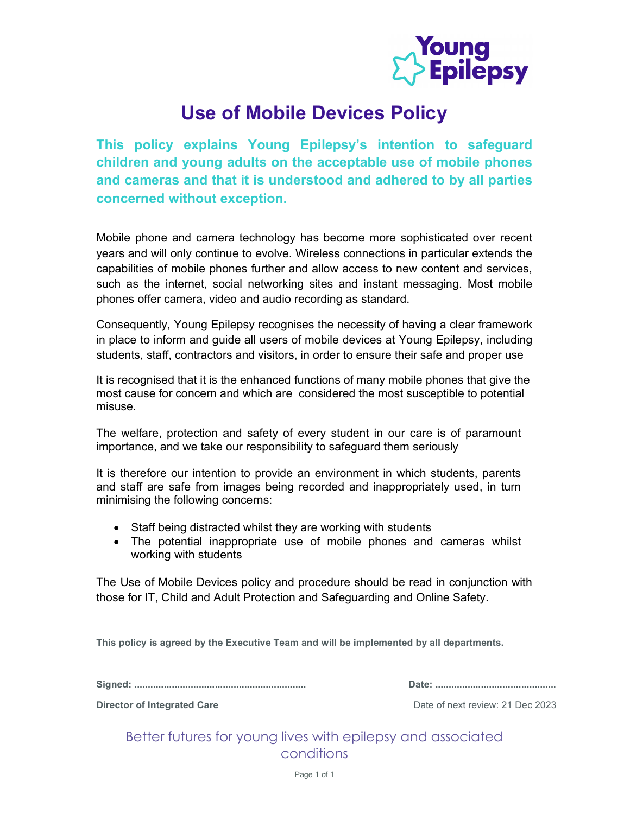

## Use of Mobile Devices Policy

This policy explains Young Epilepsy's intention to safeguard children and young adults on the acceptable use of mobile phones and cameras and that it is understood and adhered to by all parties concerned without exception.

Mobile phone and camera technology has become more sophisticated over recent years and will only continue to evolve. Wireless connections in particular extends the capabilities of mobile phones further and allow access to new content and services, such as the internet, social networking sites and instant messaging. Most mobile phones offer camera, video and audio recording as standard.

Consequently, Young Epilepsy recognises the necessity of having a clear framework in place to inform and guide all users of mobile devices at Young Epilepsy, including students, staff, contractors and visitors, in order to ensure their safe and proper use

It is recognised that it is the enhanced functions of many mobile phones that give the most cause for concern and which are considered the most susceptible to potential misuse.

The welfare, protection and safety of every student in our care is of paramount importance, and we take our responsibility to safeguard them seriously

It is therefore our intention to provide an environment in which students, parents and staff are safe from images being recorded and inappropriately used, in turn minimising the following concerns:

- Staff being distracted whilst they are working with students
- The potential inappropriate use of mobile phones and cameras whilst working with students

The Use of Mobile Devices policy and procedure should be read in conjunction with those for IT, Child and Adult Protection and Safeguarding and Online Safety.

This policy is agreed by the Executive Team and will be implemented by all departments.

Signed: ................................................................ Date: .............................................

**Director of Integrated Care Director of Integrated Care Date of next review: 21 Dec 2023** 

Better futures for young lives with epilepsy and associated conditions